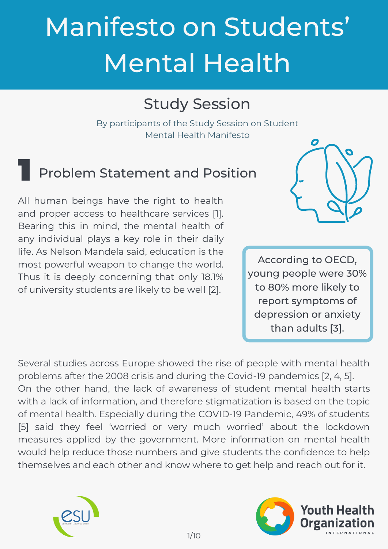# Manifesto on Students' Mental Health

# Study Session

By participants of the Study Session on Student Mental Health Manifesto

## Problem Statement and Position

All human beings have the right to health and proper access to healthcare services [1]. Bearing this in mind, the mental health of any individual plays a key role in their daily life. As Nelson Mandela said, education is the most powerful weapon to change the world. Thus it is deeply concerning that only 18.1% of university students are likely to be well [2].



According to OECD, young people were 30% to 80% more likely to report symptoms of depression or anxiety than adults [3].

Several studies across Europe showed the rise of people with mental health problems after the 2008 crisis and during the Covid-19 pandemics [2, 4, 5]. On the other hand, the lack of awareness of student mental health starts with a lack of information, and therefore stigmatization is based on the topic of mental health. Especially during the COVID-19 Pandemic, 49% of students [5] said they feel 'worried or very much worried' about the lockdown measures applied by the government. More information on mental health would help reduce those numbers and give students the confidence to help themselves and each other and know where to get help and reach out for it.



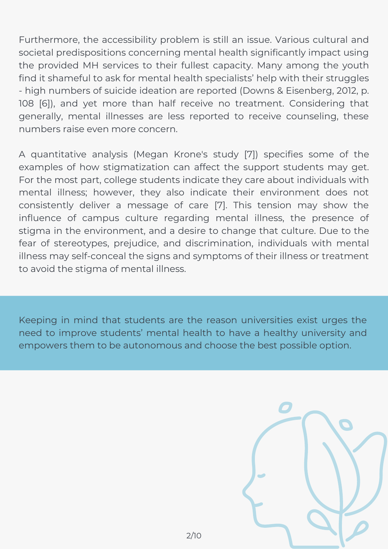Furthermore, the accessibility problem is still an issue. Various cultural and societal predispositions concerning mental health significantly impact using the provided MH services to their fullest capacity. Many among the youth find it shameful to ask for mental health specialists' help with their struggles - high numbers of suicide ideation are reported (Downs & Eisenberg, 2012, p. 108 [6]), and yet more than half receive no treatment. Considering that generally, mental illnesses are less reported to receive counseling, these numbers raise even more concern.

A quantitative analysis (Megan Krone's study [7]) specifies some of the examples of how stigmatization can affect the support students may get. For the most part, college students indicate they care about individuals with mental illness; however, they also indicate their environment does not consistently deliver a message of care [7]. This tension may show the influence of campus culture regarding mental illness, the presence of stigma in the environment, and a desire to change that culture. Due to the fear of stereotypes, prejudice, and discrimination, individuals with mental illness may self-conceal the signs and symptoms of their illness or treatment to avoid the stigma of mental illness.

Keeping in mind that students are the reason universities exist urges the need to improve students' mental health to have a healthy university and empowers them to be autonomous and choose the best possible option.

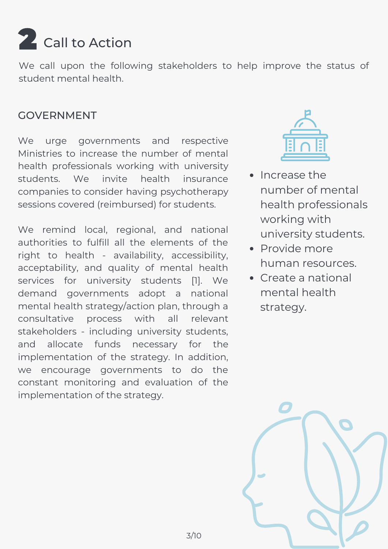

We call upon the following stakeholders to help improve the status of student mental health.

#### GOVERNMENT

We urge governments and respective Ministries to increase the number of mental health professionals working with university students. We invite health insurance companies to consider having psychotherapy sessions covered (reimbursed) for students.

We remind local, regional, and national authorities to fulfill all the elements of the right to health - availability, accessibility, acceptability, and quality of mental health services for university students [1]. We demand governments adopt a national mental health strategy/action plan, through a consultative process with all relevant stakeholders - including university students, and allocate funds necessary for the implementation of the strategy. In addition, we encourage governments to do the constant monitoring and evaluation of the implementation of the strategy.



- Increase the number of mental health professionals working with university students.
- Provide more human resources.
- Create a national mental health strategy.

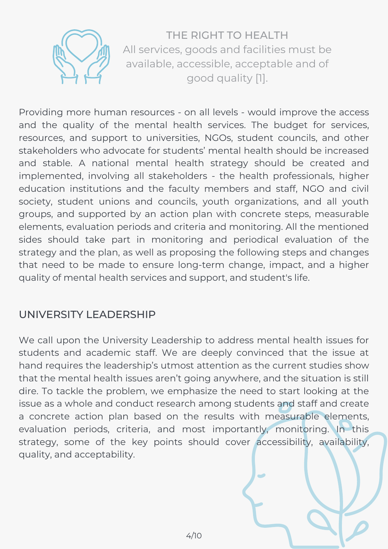

THE RIGHT TO HEALTH All services, goods and facilities must be available, accessible, acceptable and of good quality [1].

Providing more human resources - on all levels - would improve the access and the quality of the mental health services. The budget for services, resources, and support to universities, NGOs, student councils, and other stakeholders who advocate for students' mental health should be increased and stable. A national mental health strategy should be created and implemented, involving all stakeholders - the health professionals, higher education institutions and the faculty members and staff, NGO and civil society, student unions and councils, youth organizations, and all youth groups, and supported by an action plan with concrete steps, measurable elements, evaluation periods and criteria and monitoring. All the mentioned sides should take part in monitoring and periodical evaluation of the strategy and the plan, as well as proposing the following steps and changes that need to be made to ensure long-term change, impact, and a higher quality of mental health services and support, and student's life.

#### UNIVERSITY LEADERSHIP

We call upon the University Leadership to address mental health issues for students and academic staff. We are deeply convinced that the issue at hand requires the leadership's utmost attention as the current studies show that the mental health issues aren't going anywhere, and the situation is still dire. To tackle the problem, we emphasize the need to start looking at the issue as a whole and conduct research among students and staff and create a concrete action plan based on the results with measurable elements, evaluation periods, criteria, and most importantly, monitoring. In this strategy, some of the key points should cover accessibility, availability, quality, and acceptability.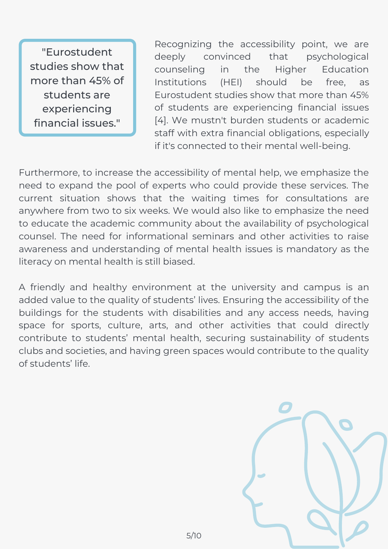"Eurostudent studies show that more than 45% of students are experiencing financial issues."

Recognizing the accessibility point, we are deeply convinced that psychological counseling in the Higher Education Institutions (HEI) should be free, as Eurostudent studies show that more than 45% of students are experiencing financial issues [4]. We mustn't burden students or academic staff with extra financial obligations, especially if it's connected to their mental well-being.

Furthermore, to increase the accessibility of mental help, we emphasize the need to expand the pool of experts who could provide these services. The current situation shows that the waiting times for consultations are anywhere from two to six weeks. We would also like to emphasize the need to educate the academic community about the availability of psychological counsel. The need for informational seminars and other activities to raise awareness and understanding of mental health issues is mandatory as the literacy on mental health is still biased.

A friendly and healthy environment at the university and campus is an added value to the quality of students' lives. Ensuring the accessibility of the buildings for the students with disabilities and any access needs, having space for sports, culture, arts, and other activities that could directly contribute to students' mental health, securing sustainability of students clubs and societies, and having green spaces would contribute to the quality of students' life.

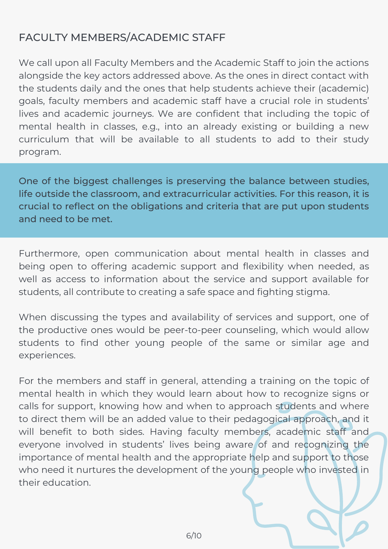### FACULTY MEMBERS/ACADEMIC STAFF

We call upon all Faculty Members and the Academic Staff to join the actions alongside the key actors addressed above. As the ones in direct contact with the students daily and the ones that help students achieve their (academic) goals, faculty members and academic staff have a crucial role in students' lives and academic journeys. We are confident that including the topic of mental health in classes, e.g., into an already existing or building a new curriculum that will be available to all students to add to their study program.

One of the biggest challenges is preserving the balance between studies, life outside the classroom, and extracurricular activities. For this reason, it is crucial to reflect on the obligations and criteria that are put upon students and need to be met.

Furthermore, open communication about mental health in classes and being open to offering academic support and flexibility when needed, as well as access to information about the service and support available for students, all contribute to creating a safe space and fighting stigma.

When discussing the types and availability of services and support, one of the productive ones would be peer-to-peer counseling, which would allow students to find other young people of the same or similar age and experiences.

For the members and staff in general, attending a training on the topic of mental health in which they would learn about how to recognize signs or calls for support, knowing how and when to approach students and where to direct them will be an added value to their pedagogical approach, and it will benefit to both sides. Having faculty members, academic staff and everyone involved in students' lives being aware of and recognizing the importance of mental health and the appropriate help and support to those who need it nurtures the development of the young people who invested in their education.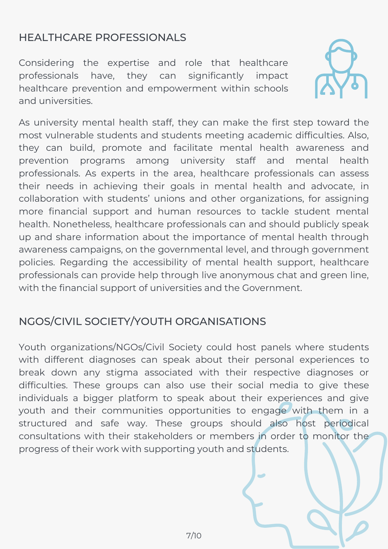### HEALTHCARE PROFESSIONALS

Considering the expertise and role that healthcare professionals have, they can significantly impact healthcare prevention and empowerment within schools and universities.



As university mental health staff, they can make the first step toward the most vulnerable students and students meeting academic difficulties. Also, they can build, promote and facilitate mental health awareness and prevention programs among university staff and mental health professionals. As experts in the area, healthcare professionals can assess their needs in achieving their goals in mental health and advocate, in collaboration with students' unions and other organizations, for assigning more financial support and human resources to tackle student mental health. Nonetheless, healthcare professionals can and should publicly speak up and share information about the importance of mental health through awareness campaigns, on the governmental level, and through government policies. Regarding the accessibility of mental health support, healthcare professionals can provide help through live anonymous chat and green line, with the financial support of universities and the Government.

#### NGOS/CIVIL SOCIETY/YOUTH ORGANISATIONS

Youth organizations/NGOs/Civil Society could host panels where students with different diagnoses can speak about their personal experiences to break down any stigma associated with their respective diagnoses or difficulties. These groups can also use their social media to give these individuals a bigger platform to speak about their experiences and give youth and their communities opportunities to engage with them in a structured and safe way. These groups should also host periodical consultations with their stakeholders or members in order to monitor the progress of their work with supporting youth and students.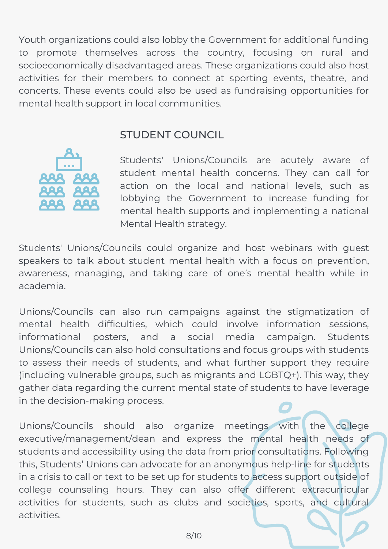Youth organizations could also lobby the Government for additional funding to promote themselves across the country, focusing on rural and socioeconomically disadvantaged areas. These organizations could also host activities for their members to connect at sporting events, theatre, and concerts. These events could also be used as fundraising opportunities for mental health support in local communities.

#### STUDENT COUNCIL



Students' Unions/Councils are acutely aware of student mental health concerns. They can call for action on the local and national levels, such as lobbying the Government to increase funding for mental health supports and implementing a national Mental Health strategy.

Students' Unions/Councils could organize and host webinars with guest speakers to talk about student mental health with a focus on prevention, awareness, managing, and taking care of one's mental health while in academia.

Unions/Councils can also run campaigns against the stigmatization of mental health difficulties, which could involve information sessions, informational posters, and a social media campaign. Students Unions/Councils can also hold consultations and focus groups with students to assess their needs of students, and what further support they require (including vulnerable groups, such as migrants and LGBTQ+). This way, they gather data regarding the current mental state of students to have leverage in the decision-making process.

Unions/Councils should also organize meetings with the college executive/management/dean and express the mental health needs of students and accessibility using the data from prior consultations. Following this, Students' Unions can advocate for an anonymous help-line for students in a crisis to call or text to be set up for students to access support outside of college counseling hours. They can also offer different extracurricular activities for students, such as clubs and societies, sports, and cultural activities.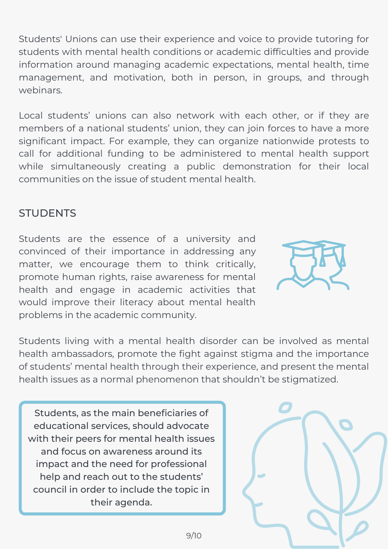Students' Unions can use their experience and voice to provide tutoring for students with mental health conditions or academic difficulties and provide information around managing academic expectations, mental health, time management, and motivation, both in person, in groups, and through webinars.

Local students' unions can also network with each other, or if they are members of a national students' union, they can join forces to have a more significant impact. For example, they can organize nationwide protests to call for additional funding to be administered to mental health support while simultaneously creating a public demonstration for their local communities on the issue of student mental health.

#### **STUDENTS**

Students are the essence of a university and convinced of their importance in addressing any matter, we encourage them to think critically, promote human rights, raise awareness for mental health and engage in academic activities that would improve their literacy about mental health problems in the academic community.



Students living with a mental health disorder can be involved as mental health ambassadors, promote the fight against stigma and the importance of students' mental health through their experience, and present the mental health issues as a normal phenomenon that shouldn't be stigmatized.

Students, as the main beneficiaries of educational services, should advocate with their peers for mental health issues and focus on awareness around its impact and the need for professional help and reach out to the students' council in order to include the topic in their agenda.